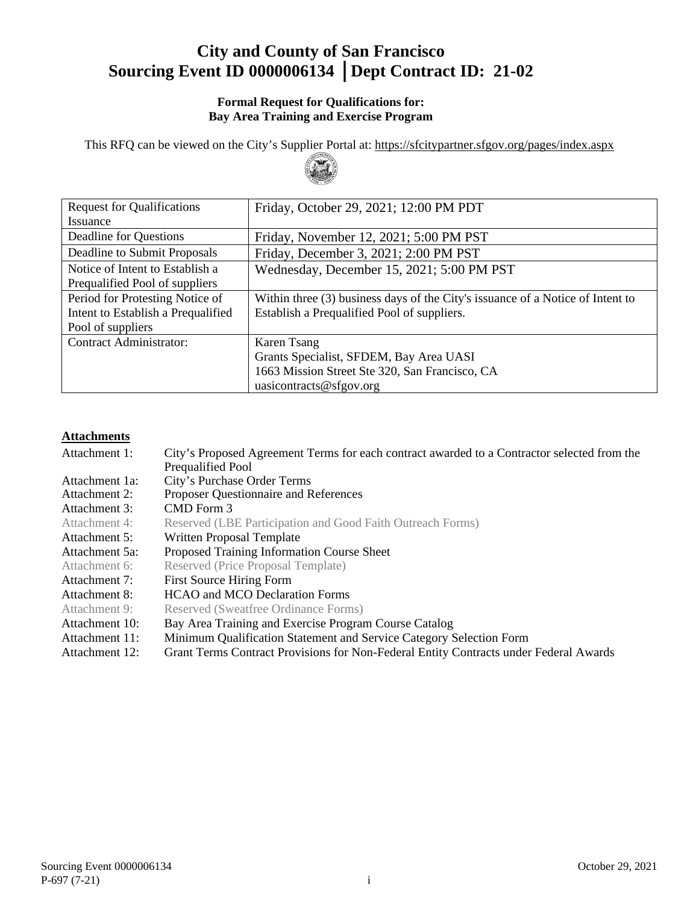# **City and County of San Francisco Sourcing Event ID 0000006134** │**Dept Contract ID: 21-02**

#### **Formal Request for Qualifications for: Bay Area Training and Exercise Program**

This RFQ can be viewed on the City's Supplier Portal at:<https://sfcitypartner.sfgov.org/pages/index.aspx>



| <b>Request for Qualifications</b>  | Friday, October 29, 2021; 12:00 PM PDT                                         |
|------------------------------------|--------------------------------------------------------------------------------|
| <i>Issuance</i>                    |                                                                                |
| Deadline for Questions             | Friday, November 12, 2021; 5:00 PM PST                                         |
| Deadline to Submit Proposals       | Friday, December 3, 2021; 2:00 PM PST                                          |
| Notice of Intent to Establish a    | Wednesday, December 15, 2021; 5:00 PM PST                                      |
| Prequalified Pool of suppliers     |                                                                                |
| Period for Protesting Notice of    | Within three (3) business days of the City's issuance of a Notice of Intent to |
| Intent to Establish a Prequalified | Establish a Prequalified Pool of suppliers.                                    |
| Pool of suppliers                  |                                                                                |
| <b>Contract Administrator:</b>     | Karen Tsang                                                                    |
|                                    | Grants Specialist, SFDEM, Bay Area UASI                                        |
|                                    | 1663 Mission Street Ste 320, San Francisco, CA                                 |
|                                    | uasicontracts@sfgov.org                                                        |

#### **Attachments**

| Attachment 1:  | City's Proposed Agreement Terms for each contract awarded to a Contractor selected from the<br>Prequalified Pool |
|----------------|------------------------------------------------------------------------------------------------------------------|
| Attachment 1a: | City's Purchase Order Terms                                                                                      |
| Attachment 2:  | Proposer Questionnaire and References                                                                            |
| Attachment 3:  | CMD Form 3                                                                                                       |
| Attachment 4:  | Reserved (LBE Participation and Good Faith Outreach Forms)                                                       |
| Attachment 5:  | Written Proposal Template                                                                                        |
| Attachment 5a: | Proposed Training Information Course Sheet                                                                       |
| Attachment 6:  | Reserved (Price Proposal Template)                                                                               |
| Attachment 7:  | <b>First Source Hiring Form</b>                                                                                  |
| Attachment 8:  | <b>HCAO</b> and MCO Declaration Forms                                                                            |
| Attachment 9:  | Reserved (Sweatfree Ordinance Forms)                                                                             |
| Attachment 10: | Bay Area Training and Exercise Program Course Catalog                                                            |
| Attachment 11: | Minimum Qualification Statement and Service Category Selection Form                                              |
| Attachment 12: | Grant Terms Contract Provisions for Non-Federal Entity Contracts under Federal Awards                            |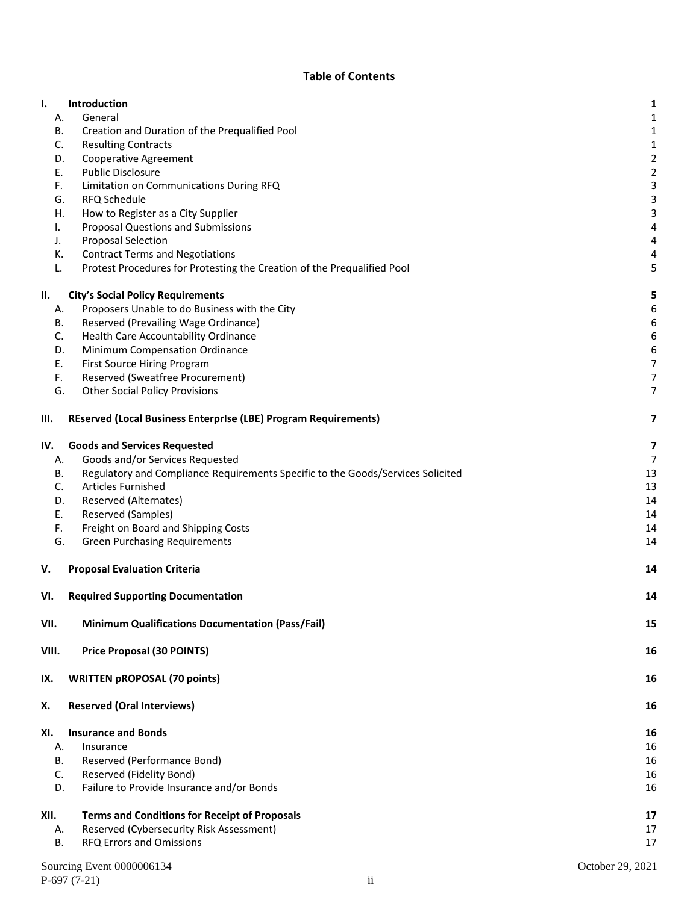#### **Table of Contents**

| Ι.       | <b>Introduction</b>                                                                                               | 1              |
|----------|-------------------------------------------------------------------------------------------------------------------|----------------|
| А.       | General                                                                                                           | 1              |
| В.       | Creation and Duration of the Prequalified Pool                                                                    | 1              |
| C.       | <b>Resulting Contracts</b>                                                                                        | 1              |
| D.       | <b>Cooperative Agreement</b>                                                                                      | 2              |
| Ε.       | <b>Public Disclosure</b>                                                                                          | $\overline{c}$ |
| F.       | Limitation on Communications During RFQ                                                                           | 3              |
| G.       | RFQ Schedule                                                                                                      | 3              |
| Η.       | How to Register as a City Supplier                                                                                | 3              |
| I.       | <b>Proposal Questions and Submissions</b>                                                                         | 4              |
| J.       | <b>Proposal Selection</b>                                                                                         | 4              |
| К.<br>L. | <b>Contract Terms and Negotiations</b><br>Protest Procedures for Protesting the Creation of the Prequalified Pool | 4<br>5         |
|          |                                                                                                                   |                |
| П.       | <b>City's Social Policy Requirements</b>                                                                          | 5              |
| А.       | Proposers Unable to do Business with the City                                                                     | 6              |
| В.       | Reserved (Prevailing Wage Ordinance)                                                                              | 6              |
| C.       | Health Care Accountability Ordinance                                                                              | 6              |
| D.       | Minimum Compensation Ordinance                                                                                    | 6              |
| Ε.       | First Source Hiring Program                                                                                       | 7              |
| F.       | Reserved (Sweatfree Procurement)                                                                                  | 7              |
| G.       | <b>Other Social Policy Provisions</b>                                                                             | 7              |
| III.     | REserved (Local Business Enterprise (LBE) Program Requirements)                                                   | 7              |
| IV.      | <b>Goods and Services Requested</b>                                                                               | 7              |
| А.       | Goods and/or Services Requested                                                                                   | 7              |
| В.       | Regulatory and Compliance Requirements Specific to the Goods/Services Solicited                                   | 13             |
| C.       | <b>Articles Furnished</b>                                                                                         | 13             |
| D.       | Reserved (Alternates)                                                                                             | 14             |
| Ε.       | Reserved (Samples)                                                                                                | 14             |
| F.       | Freight on Board and Shipping Costs                                                                               | 14             |
| G.       | <b>Green Purchasing Requirements</b>                                                                              | 14             |
| v.       | <b>Proposal Evaluation Criteria</b>                                                                               | 14             |
| VI.      | <b>Required Supporting Documentation</b>                                                                          | 14             |
| VII.     | <b>Minimum Qualifications Documentation (Pass/Fail)</b>                                                           | 15             |
| VIII.    | <b>Price Proposal (30 POINTS)</b>                                                                                 | 16             |
| IX.      | <b>WRITTEN pROPOSAL (70 points)</b>                                                                               | 16             |
| Х.       | <b>Reserved (Oral Interviews)</b>                                                                                 | 16             |
| XI.      | <b>Insurance and Bonds</b>                                                                                        | 16             |
| А.       | Insurance                                                                                                         | 16             |
| В.       | Reserved (Performance Bond)                                                                                       | 16             |
| C.       | Reserved (Fidelity Bond)                                                                                          | 16             |
| D.       | Failure to Provide Insurance and/or Bonds                                                                         | 16             |
| XII.     | <b>Terms and Conditions for Receipt of Proposals</b>                                                              | 17             |
| А.       | Reserved (Cybersecurity Risk Assessment)                                                                          | 17             |
| В.       | RFQ Errors and Omissions                                                                                          | 17             |
|          |                                                                                                                   |                |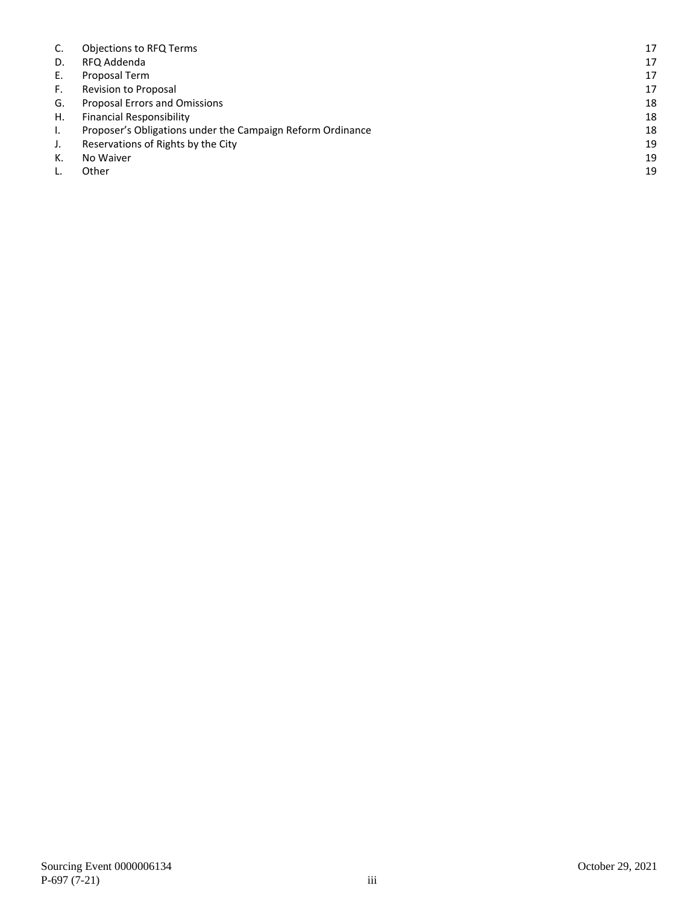| C. | <b>Objections to RFQ Terms</b>                             | 17 |
|----|------------------------------------------------------------|----|
| D. | RFQ Addenda                                                | 17 |
| Ε. | Proposal Term                                              | 17 |
| F. | Revision to Proposal                                       | 17 |
| G. | Proposal Errors and Omissions                              | 18 |
| Η. | <b>Financial Responsibility</b>                            | 18 |
| L. | Proposer's Obligations under the Campaign Reform Ordinance | 18 |
| J. | Reservations of Rights by the City                         | 19 |
| К. | No Waiver                                                  | 19 |
|    | Other                                                      | 19 |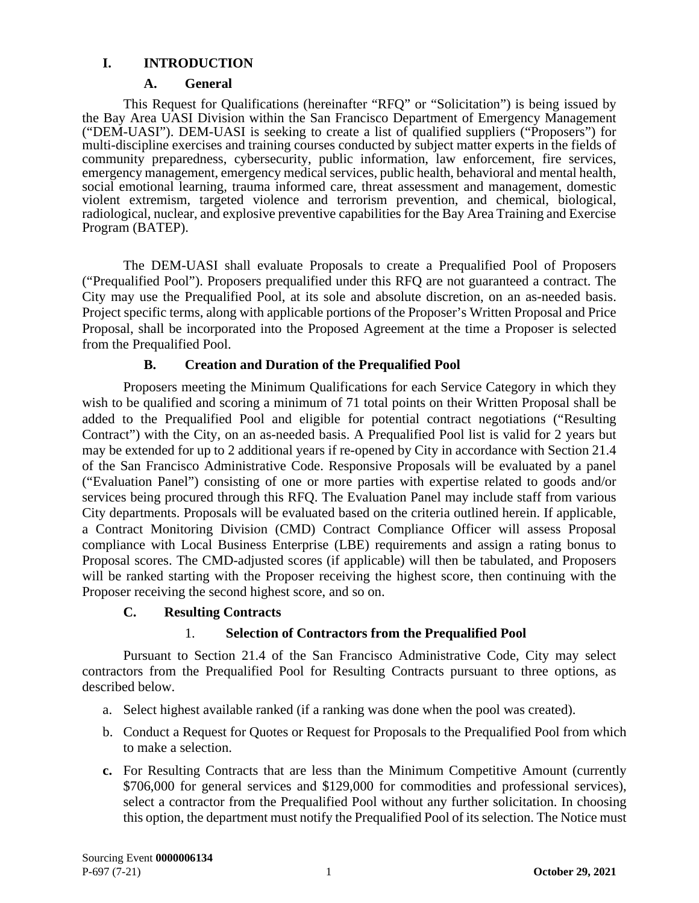## <span id="page-3-0"></span>**I. INTRODUCTION**

#### **A. General**

<span id="page-3-1"></span>This Request for Qualifications (hereinafter "RFQ" or "Solicitation") is being issued by the Bay Area UASI Division within the San Francisco Department of Emergency Management ("DEM-UASI"). DEM-UASI is seeking to create a list of qualified suppliers ("Proposers") for multi-discipline exercises and training courses conducted by subject matter experts in the fields of community preparedness, cybersecurity, public information, law enforcement, fire services, emergency management, emergency medical services, public health, behavioral and mental health, social emotional learning, trauma informed care, threat assessment and management, domestic violent extremism, targeted violence and terrorism prevention, and chemical, biological, radiological, nuclear, and explosive preventive capabilities for the Bay Area Training and Exercise Program (BATEP).

The DEM-UASI shall evaluate Proposals to create a Prequalified Pool of Proposers ("Prequalified Pool"). Proposers prequalified under this RFQ are not guaranteed a contract. The City may use the Prequalified Pool, at its sole and absolute discretion, on an as-needed basis. Project specific terms, along with applicable portions of the Proposer's Written Proposal and Price Proposal, shall be incorporated into the Proposed Agreement at the time a Proposer is selected from the Prequalified Pool.

### **B. Creation and Duration of the Prequalified Pool**

<span id="page-3-2"></span>Proposers meeting the Minimum Qualifications for each Service Category in which they wish to be qualified and scoring a minimum of 71 total points on their Written Proposal shall be added to the Prequalified Pool and eligible for potential contract negotiations ("Resulting Contract") with the City, on an as-needed basis. A Prequalified Pool list is valid for 2 years but may be extended for up to 2 additional years if re-opened by City in accordance with Section 21.4 of the San Francisco Administrative Code. Responsive Proposals will be evaluated by a panel ("Evaluation Panel") consisting of one or more parties with expertise related to goods and/or services being procured through this RFQ. The Evaluation Panel may include staff from various City departments. Proposals will be evaluated based on the criteria outlined herein. If applicable, a Contract Monitoring Division (CMD) Contract Compliance Officer will assess Proposal compliance with Local Business Enterprise (LBE) requirements and assign a rating bonus to Proposal scores. The CMD-adjusted scores (if applicable) will then be tabulated, and Proposers will be ranked starting with the Proposer receiving the highest score, then continuing with the Proposer receiving the second highest score, and so on.

### **C. Resulting Contracts**

# 1. **Selection of Contractors from the Prequalified Pool**

<span id="page-3-3"></span>Pursuant to Section 21.4 of the San Francisco Administrative Code, City may select contractors from the Prequalified Pool for Resulting Contracts pursuant to three options, as described below.

- a. Select highest available ranked (if a ranking was done when the pool was created).
- b. Conduct a Request for Quotes or Request for Proposals to the Prequalified Pool from which to make a selection.
- **c.** For Resulting Contracts that are less than the Minimum Competitive Amount (currently \$706,000 for general services and \$129,000 for commodities and professional services), select a contractor from the Prequalified Pool without any further solicitation. In choosing this option, the department must notify the Prequalified Pool of its selection. The Notice must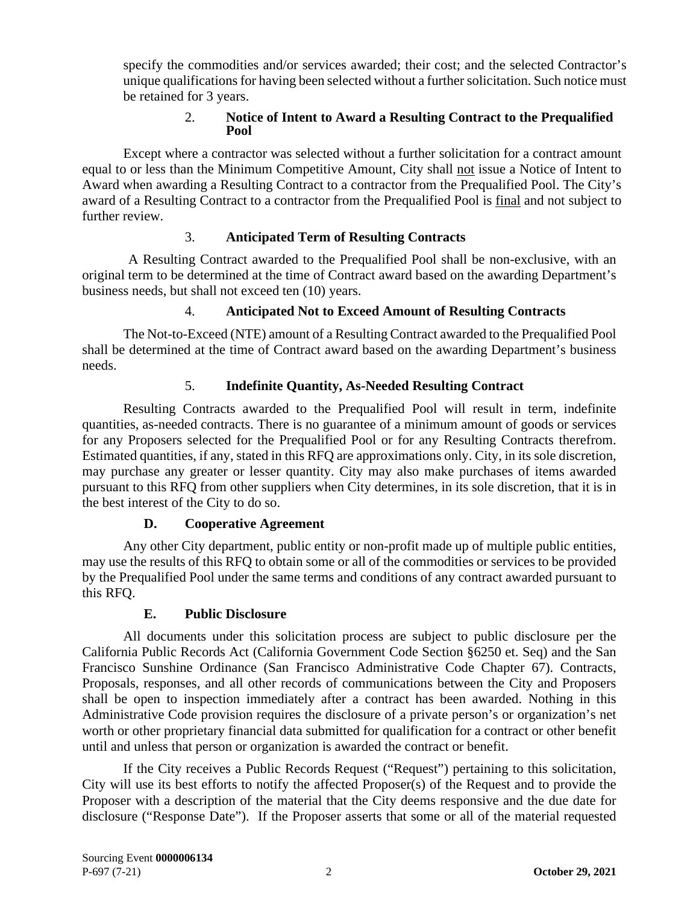specify the commodities and/or services awarded; their cost; and the selected Contractor's unique qualifications for having been selected without a further solicitation. Such notice must be retained for 3 years.

#### 2. **Notice of Intent to Award a Resulting Contract to the Prequalified Pool**

Except where a contractor was selected without a further solicitation for a contract amount equal to or less than the Minimum Competitive Amount, City shall not issue a Notice of Intent to Award when awarding a Resulting Contract to a contractor from the Prequalified Pool. The City's award of a Resulting Contract to a contractor from the Prequalified Pool is final and not subject to further review.

### 3. **Anticipated Term of Resulting Contracts**

A Resulting Contract awarded to the Prequalified Pool shall be non-exclusive, with an original term to be determined at the time of Contract award based on the awarding Department's business needs, but shall not exceed ten (10) years.

# 4. **Anticipated Not to Exceed Amount of Resulting Contracts**

The Not-to-Exceed (NTE) amount of a Resulting Contract awarded to the Prequalified Pool shall be determined at the time of Contract award based on the awarding Department's business needs.

# 5. **Indefinite Quantity, As-Needed Resulting Contract**

Resulting Contracts awarded to the Prequalified Pool will result in term, indefinite quantities, as-needed contracts. There is no guarantee of a minimum amount of goods or services for any Proposers selected for the Prequalified Pool or for any Resulting Contracts therefrom. Estimated quantities, if any, stated in this RFQ are approximations only. City, in its sole discretion, may purchase any greater or lesser quantity. City may also make purchases of items awarded pursuant to this RFQ from other suppliers when City determines, in its sole discretion, that it is in the best interest of the City to do so.

### **D. Cooperative Agreement**

<span id="page-4-0"></span>Any other City department, public entity or non-profit made up of multiple public entities, may use the results of this RFQ to obtain some or all of the commodities or services to be provided by the Prequalified Pool under the same terms and conditions of any contract awarded pursuant to this RFQ.

# **E. Public Disclosure**

<span id="page-4-1"></span>All documents under this solicitation process are subject to public disclosure per the California Public Records Act (California Government Code Section §6250 et. Seq) and the San Francisco Sunshine Ordinance (San Francisco Administrative Code Chapter 67). Contracts, Proposals, responses, and all other records of communications between the City and Proposers shall be open to inspection immediately after a contract has been awarded. Nothing in this Administrative Code provision requires the disclosure of a private person's or organization's net worth or other proprietary financial data submitted for qualification for a contract or other benefit until and unless that person or organization is awarded the contract or benefit.

If the City receives a Public Records Request ("Request") pertaining to this solicitation, City will use its best efforts to notify the affected Proposer(s) of the Request and to provide the Proposer with a description of the material that the City deems responsive and the due date for disclosure ("Response Date"). If the Proposer asserts that some or all of the material requested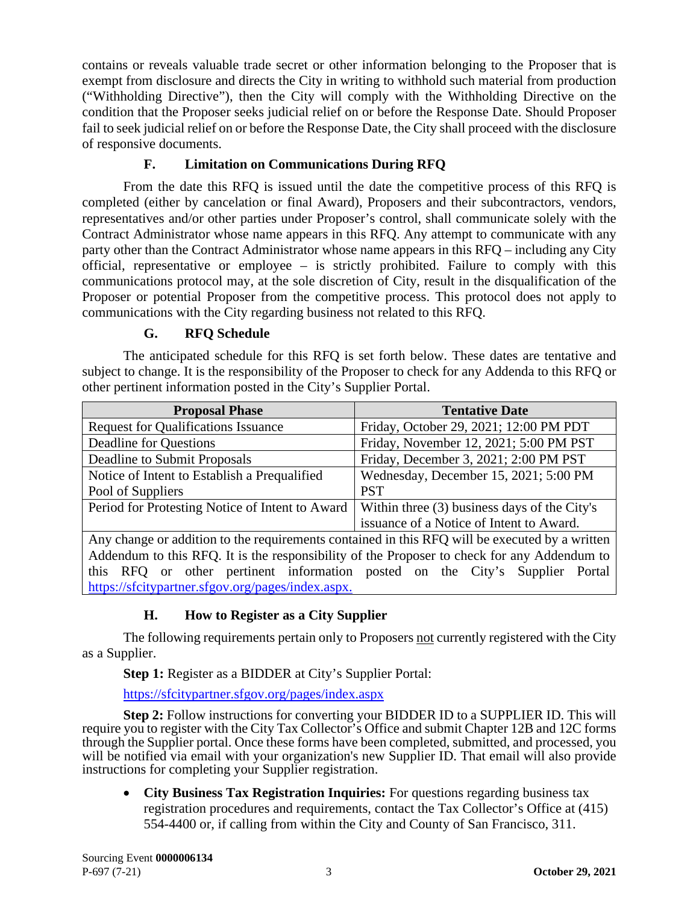contains or reveals valuable trade secret or other information belonging to the Proposer that is exempt from disclosure and directs the City in writing to withhold such material from production ("Withholding Directive"), then the City will comply with the Withholding Directive on the condition that the Proposer seeks judicial relief on or before the Response Date. Should Proposer fail to seek judicial relief on or before the Response Date, the City shall proceed with the disclosure of responsive documents.

# **F. Limitation on Communications During RFQ**

<span id="page-5-0"></span>From the date this RFQ is issued until the date the competitive process of this RFQ is completed (either by cancelation or final Award), Proposers and their subcontractors, vendors, representatives and/or other parties under Proposer's control, shall communicate solely with the Contract Administrator whose name appears in this RFQ. Any attempt to communicate with any party other than the Contract Administrator whose name appears in this RFQ – including any City official, representative or employee – is strictly prohibited. Failure to comply with this communications protocol may, at the sole discretion of City, result in the disqualification of the Proposer or potential Proposer from the competitive process. This protocol does not apply to communications with the City regarding business not related to this RFQ.

# **G. RFQ Schedule**

<span id="page-5-1"></span>The anticipated schedule for this RFQ is set forth below. These dates are tentative and subject to change. It is the responsibility of the Proposer to check for any Addenda to this RFQ or other pertinent information posted in the City's Supplier Portal.

| <b>Proposal Phase</b>                                                                          | <b>Tentative Date</b>                        |  |
|------------------------------------------------------------------------------------------------|----------------------------------------------|--|
| <b>Request for Qualifications Issuance</b>                                                     | Friday, October 29, 2021; 12:00 PM PDT       |  |
| Deadline for Questions                                                                         | Friday, November 12, 2021; 5:00 PM PST       |  |
| Deadline to Submit Proposals                                                                   | Friday, December 3, 2021; 2:00 PM PST        |  |
| Notice of Intent to Establish a Prequalified                                                   | Wednesday, December 15, 2021; 5:00 PM        |  |
| Pool of Suppliers                                                                              | <b>PST</b>                                   |  |
| Period for Protesting Notice of Intent to Award                                                | Within three (3) business days of the City's |  |
|                                                                                                | issuance of a Notice of Intent to Award.     |  |
| Any change or addition to the requirements contained in this RFQ will be executed by a written |                                              |  |

Addendum to this RFQ. It is the responsibility of the Proposer to check for any Addendum to this RFQ or other pertinent information posted on the City's Supplier Portal [https://sfcitypartner.sfgov.org/pages/index.aspx.](https://sfcitypartner.sfgov.org/pages/index.aspx)

# **H. How to Register as a City Supplier**

<span id="page-5-2"></span>The following requirements pertain only to Proposers not currently registered with the City as a Supplier.

**Step 1:** Register as a BIDDER at City's Supplier Portal:

<https://sfcitypartner.sfgov.org/pages/index.aspx>

**Step 2:** Follow instructions for converting your BIDDER ID to a SUPPLIER ID. This will require you to register with the City Tax Collector's Office and submit Chapter 12B and 12C forms through the Supplier portal. Once these forms have been completed, submitted, and processed, you will be notified via email with your organization's new Supplier ID. That email will also provide instructions for completing your Supplier registration.

• **City Business Tax Registration Inquiries:** For questions regarding business tax registration procedures and requirements, contact the Tax Collector's Office at (415) 554-4400 or, if calling from within the City and County of San Francisco, 311.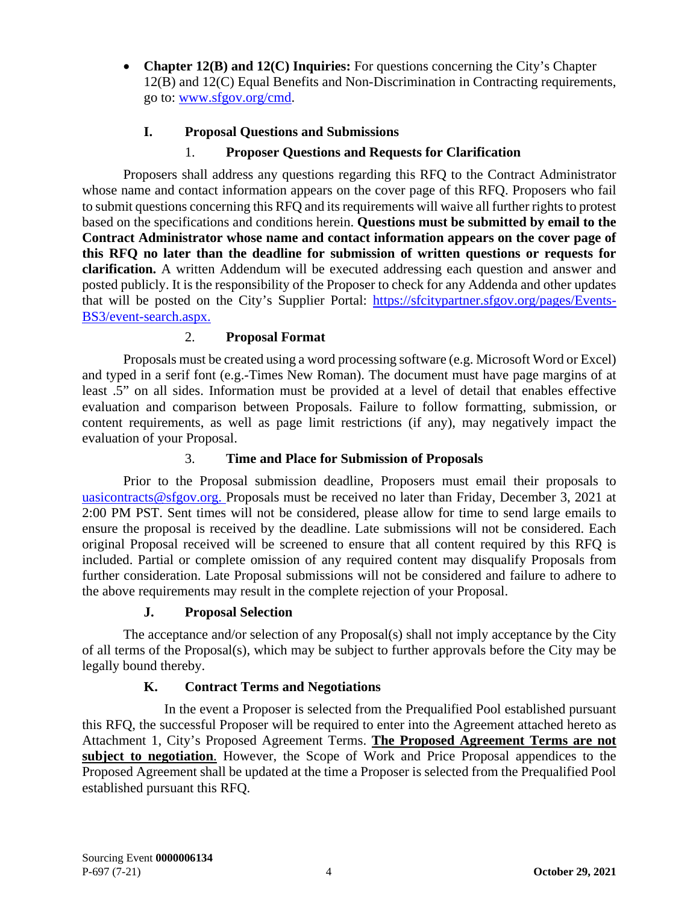• **Chapter 12(B) and 12(C) Inquiries:** For questions concerning the City's Chapter 12(B) and 12(C) Equal Benefits and Non-Discrimination in Contracting requirements, go to: [www.sfgov.org/cmd.](http://www.sfgov.org/cmd)

# **I. Proposal Questions and Submissions**

## 1. **Proposer Questions and Requests for Clarification**

<span id="page-6-0"></span>Proposers shall address any questions regarding this RFQ to the Contract Administrator whose name and contact information appears on the cover page of this RFQ. Proposers who fail to submit questions concerning this RFQ and its requirements will waive all further rights to protest based on the specifications and conditions herein. **Questions must be submitted by email to the Contract Administrator whose name and contact information appears on the cover page of this RFQ no later than the deadline for submission of written questions or requests for clarification.** A written Addendum will be executed addressing each question and answer and posted publicly. It is the responsibility of the Proposer to check for any Addenda and other updates that will be posted on the City's Supplier Portal: [https://sfcitypartner.sfgov.org/pages/Events-](https://sfcitypartner.sfgov.org/pages/Events-BS3/event-search.aspx)[BS3/event-search.aspx.](https://sfcitypartner.sfgov.org/pages/Events-BS3/event-search.aspx)

# 2. **Proposal Format**

Proposals must be created using a word processing software (e.g. Microsoft Word or Excel) and typed in a serif font (e.g.-Times New Roman). The document must have page margins of at least .5" on all sides. Information must be provided at a level of detail that enables effective evaluation and comparison between Proposals. Failure to follow formatting, submission, or content requirements, as well as page limit restrictions (if any), may negatively impact the evaluation of your Proposal.

## 3. **Time and Place for Submission of Proposals**

Prior to the Proposal submission deadline, Proposers must email their proposals to [uasicontracts@sfgov.org.](mailto:uasicontracts@sfgov.org) Proposals must be received no later than Friday, December 3, 2021 at 2:00 PM PST. Sent times will not be considered, please allow for time to send large emails to ensure the proposal is received by the deadline. Late submissions will not be considered. Each original Proposal received will be screened to ensure that all content required by this RFQ is included. Partial or complete omission of any required content may disqualify Proposals from further consideration. Late Proposal submissions will not be considered and failure to adhere to the above requirements may result in the complete rejection of your Proposal.

### **J. Proposal Selection**

<span id="page-6-1"></span>The acceptance and/or selection of any Proposal(s) shall not imply acceptance by the City of all terms of the Proposal(s), which may be subject to further approvals before the City may be legally bound thereby.

# **K. Contract Terms and Negotiations**

<span id="page-6-2"></span>In the event a Proposer is selected from the Prequalified Pool established pursuant this RFQ, the successful Proposer will be required to enter into the Agreement attached hereto as Attachment 1, City's Proposed Agreement Terms. **The Proposed Agreement Terms are not subject to negotiation**. However, the Scope of Work and Price Proposal appendices to the Proposed Agreement shall be updated at the time a Proposer is selected from the Prequalified Pool established pursuant this RFQ.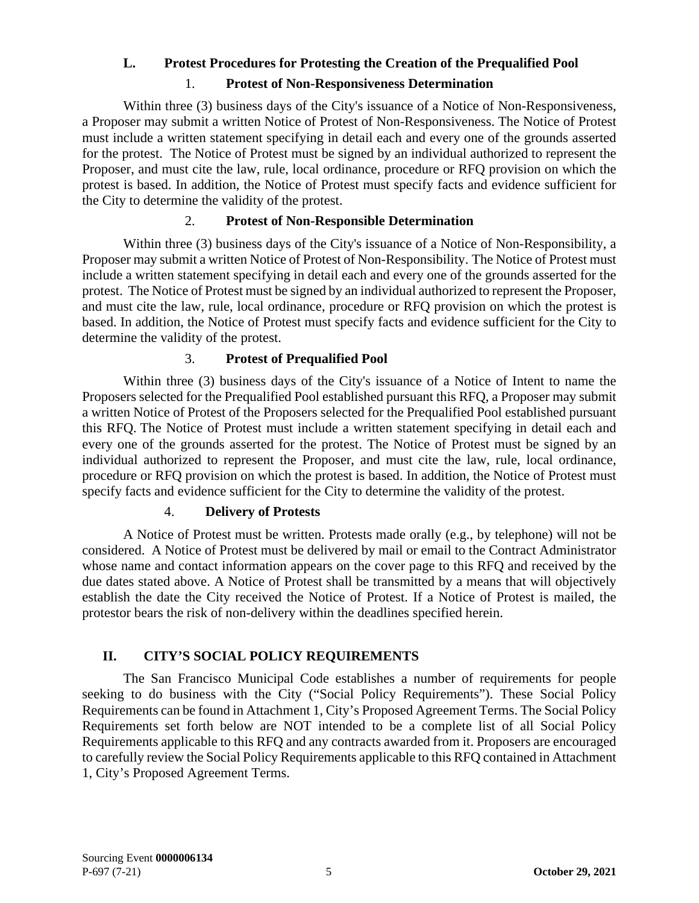### <span id="page-7-0"></span>**L. Protest Procedures for Protesting the Creation of the Prequalified Pool**

#### 1. **Protest of Non-Responsiveness Determination**

Within three (3) business days of the City's issuance of a Notice of Non-Responsiveness, a Proposer may submit a written Notice of Protest of Non-Responsiveness. The Notice of Protest must include a written statement specifying in detail each and every one of the grounds asserted for the protest. The Notice of Protest must be signed by an individual authorized to represent the Proposer, and must cite the law, rule, local ordinance, procedure or RFQ provision on which the protest is based. In addition, the Notice of Protest must specify facts and evidence sufficient for the City to determine the validity of the protest.

#### 2. **Protest of Non-Responsible Determination**

Within three (3) business days of the City's issuance of a Notice of Non-Responsibility, a Proposer may submit a written Notice of Protest of Non-Responsibility. The Notice of Protest must include a written statement specifying in detail each and every one of the grounds asserted for the protest. The Notice of Protest must be signed by an individual authorized to represent the Proposer, and must cite the law, rule, local ordinance, procedure or RFQ provision on which the protest is based. In addition, the Notice of Protest must specify facts and evidence sufficient for the City to determine the validity of the protest.

#### 3. **Protest of Prequalified Pool**

Within three (3) business days of the City's issuance of a Notice of Intent to name the Proposers selected for the Prequalified Pool established pursuant this RFQ, a Proposer may submit a written Notice of Protest of the Proposers selected for the Prequalified Pool established pursuant this RFQ. The Notice of Protest must include a written statement specifying in detail each and every one of the grounds asserted for the protest. The Notice of Protest must be signed by an individual authorized to represent the Proposer, and must cite the law, rule, local ordinance, procedure or RFQ provision on which the protest is based. In addition, the Notice of Protest must specify facts and evidence sufficient for the City to determine the validity of the protest.

#### 4. **Delivery of Protests**

A Notice of Protest must be written. Protests made orally (e.g., by telephone) will not be considered. A Notice of Protest must be delivered by mail or email to the Contract Administrator whose name and contact information appears on the cover page to this RFQ and received by the due dates stated above. A Notice of Protest shall be transmitted by a means that will objectively establish the date the City received the Notice of Protest. If a Notice of Protest is mailed, the protestor bears the risk of non-delivery within the deadlines specified herein.

### **II. CITY'S SOCIAL POLICY REQUIREMENTS**

<span id="page-7-1"></span>The San Francisco Municipal Code establishes a number of requirements for people seeking to do business with the City ("Social Policy Requirements"). These Social Policy Requirements can be found in Attachment 1, City's Proposed Agreement Terms. The Social Policy Requirements set forth below are NOT intended to be a complete list of all Social Policy Requirements applicable to this RFQ and any contracts awarded from it. Proposers are encouraged to carefully review the Social Policy Requirements applicable to this RFQ contained in Attachment 1, City's Proposed Agreement Terms.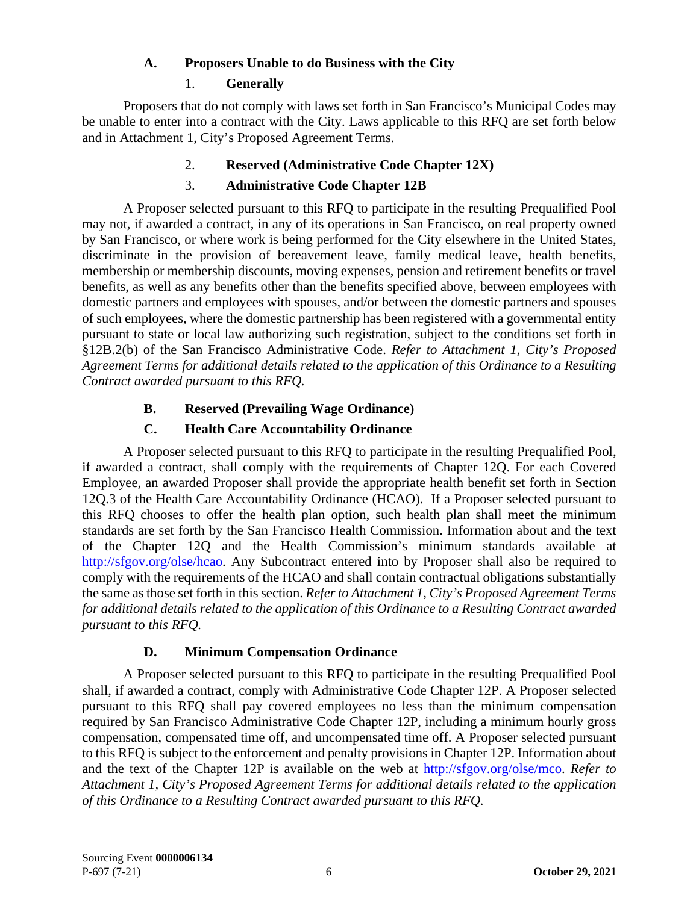## **A. Proposers Unable to do Business with the City**

## 1. **Generally**

<span id="page-8-0"></span>Proposers that do not comply with laws set forth in San Francisco's Municipal Codes may be unable to enter into a contract with the City. Laws applicable to this RFQ are set forth below and in Attachment 1, City's Proposed Agreement Terms.

# 2. **Reserved (Administrative Code Chapter 12X)**

# 3. **Administrative Code Chapter 12B**

A Proposer selected pursuant to this RFQ to participate in the resulting Prequalified Pool may not, if awarded a contract, in any of its operations in San Francisco, on real property owned by San Francisco, or where work is being performed for the City elsewhere in the United States, discriminate in the provision of bereavement leave, family medical leave, health benefits, membership or membership discounts, moving expenses, pension and retirement benefits or travel benefits, as well as any benefits other than the benefits specified above, between employees with domestic partners and employees with spouses, and/or between the domestic partners and spouses of such employees, where the domestic partnership has been registered with a governmental entity pursuant to state or local law authorizing such registration, subject to the conditions set forth in §12B.2(b) of the San Francisco Administrative Code. *Refer to Attachment 1, City's Proposed Agreement Terms for additional details related to the application of this Ordinance to a Resulting Contract awarded pursuant to this RFQ.*

# **B. Reserved (Prevailing Wage Ordinance)**

# **C. Health Care Accountability Ordinance**

<span id="page-8-2"></span><span id="page-8-1"></span>A Proposer selected pursuant to this RFQ to participate in the resulting Prequalified Pool, if awarded a contract, shall comply with the requirements of Chapter 12Q. For each Covered Employee, an awarded Proposer shall provide the appropriate health benefit set forth in Section 12Q.3 of the Health Care Accountability Ordinance (HCAO). If a Proposer selected pursuant to this RFQ chooses to offer the health plan option, such health plan shall meet the minimum standards are set forth by the San Francisco Health Commission. Information about and the text of the Chapter 12Q and the Health Commission's minimum standards available at [http://sfgov.org/olse/hcao.](http://sfgov.org/olse/hcao) Any Subcontract entered into by Proposer shall also be required to comply with the requirements of the HCAO and shall contain contractual obligations substantially the same as those set forth in this section. *Refer to Attachment 1, City's Proposed Agreement Terms for additional details related to the application of this Ordinance to a Resulting Contract awarded pursuant to this RFQ.*

### **D. Minimum Compensation Ordinance**

<span id="page-8-3"></span>A Proposer selected pursuant to this RFQ to participate in the resulting Prequalified Pool shall, if awarded a contract, comply with Administrative Code Chapter 12P. A Proposer selected pursuant to this RFQ shall pay covered employees no less than the minimum compensation required by San Francisco Administrative Code Chapter 12P, including a minimum hourly gross compensation, compensated time off, and uncompensated time off. A Proposer selected pursuant to this RFQ is subject to the enforcement and penalty provisions in Chapter 12P. Information about and the text of the Chapter 12P is available on the web at [http://sfgov.org/olse/mco.](http://sfgov.org/olse/mco) *Refer to Attachment 1, City's Proposed Agreement Terms for additional details related to the application of this Ordinance to a Resulting Contract awarded pursuant to this RFQ.*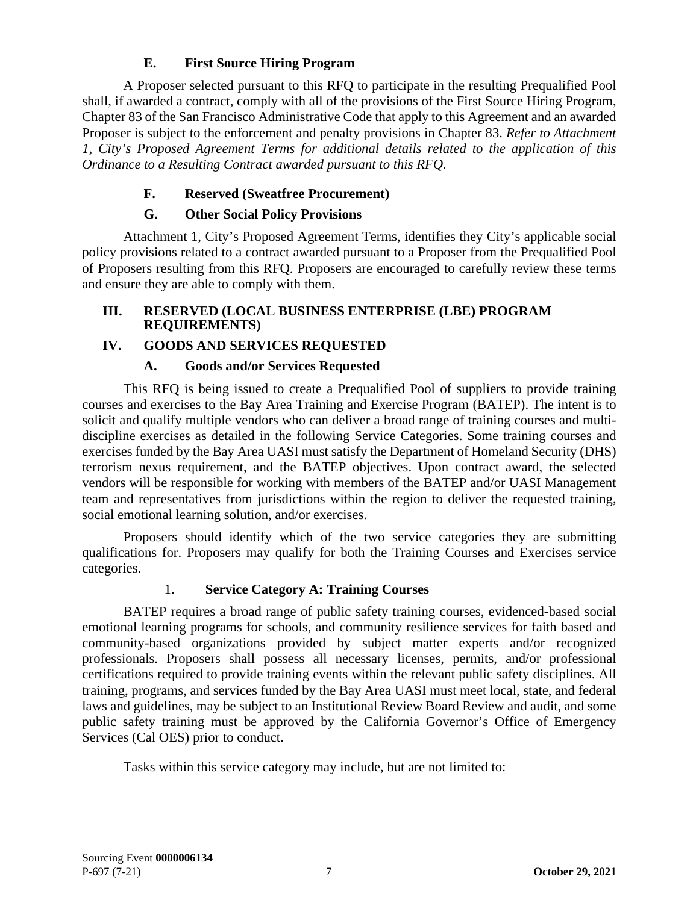# **E. First Source Hiring Program**

<span id="page-9-0"></span>A Proposer selected pursuant to this RFQ to participate in the resulting Prequalified Pool shall, if awarded a contract, comply with all of the provisions of the First Source Hiring Program, Chapter 83 of the San Francisco Administrative Code that apply to this Agreement and an awarded Proposer is subject to the enforcement and penalty provisions in Chapter 83. *Refer to Attachment 1, City's Proposed Agreement Terms for additional details related to the application of this Ordinance to a Resulting Contract awarded pursuant to this RFQ.*

# **F. Reserved (Sweatfree Procurement)**

# **G. Other Social Policy Provisions**

<span id="page-9-2"></span><span id="page-9-1"></span>Attachment 1, City's Proposed Agreement Terms, identifies they City's applicable social policy provisions related to a contract awarded pursuant to a Proposer from the Prequalified Pool of Proposers resulting from this RFQ. Proposers are encouraged to carefully review these terms and ensure they are able to comply with them.

## <span id="page-9-3"></span>**III. RESERVED (LOCAL BUSINESS ENTERPRISE (LBE) PROGRAM REQUIREMENTS)**

# <span id="page-9-4"></span>**IV. GOODS AND SERVICES REQUESTED**

# **A. Goods and/or Services Requested**

<span id="page-9-5"></span>This RFQ is being issued to create a Prequalified Pool of suppliers to provide training courses and exercises to the Bay Area Training and Exercise Program (BATEP). The intent is to solicit and qualify multiple vendors who can deliver a broad range of training courses and multidiscipline exercises as detailed in the following Service Categories. Some training courses and exercises funded by the Bay Area UASI must satisfy the Department of Homeland Security (DHS) terrorism nexus requirement, and the BATEP objectives. Upon contract award, the selected vendors will be responsible for working with members of the BATEP and/or UASI Management team and representatives from jurisdictions within the region to deliver the requested training, social emotional learning solution, and/or exercises.

Proposers should identify which of the two service categories they are submitting qualifications for. Proposers may qualify for both the Training Courses and Exercises service categories.

# 1. **Service Category A: Training Courses**

BATEP requires a broad range of public safety training courses, evidenced-based social emotional learning programs for schools, and community resilience services for faith based and community-based organizations provided by subject matter experts and/or recognized professionals. Proposers shall possess all necessary licenses, permits, and/or professional certifications required to provide training events within the relevant public safety disciplines. All training, programs, and services funded by the Bay Area UASI must meet local, state, and federal laws and guidelines, may be subject to an Institutional Review Board Review and audit, and some public safety training must be approved by the California Governor's Office of Emergency Services (Cal OES) prior to conduct.

Tasks within this service category may include, but are not limited to: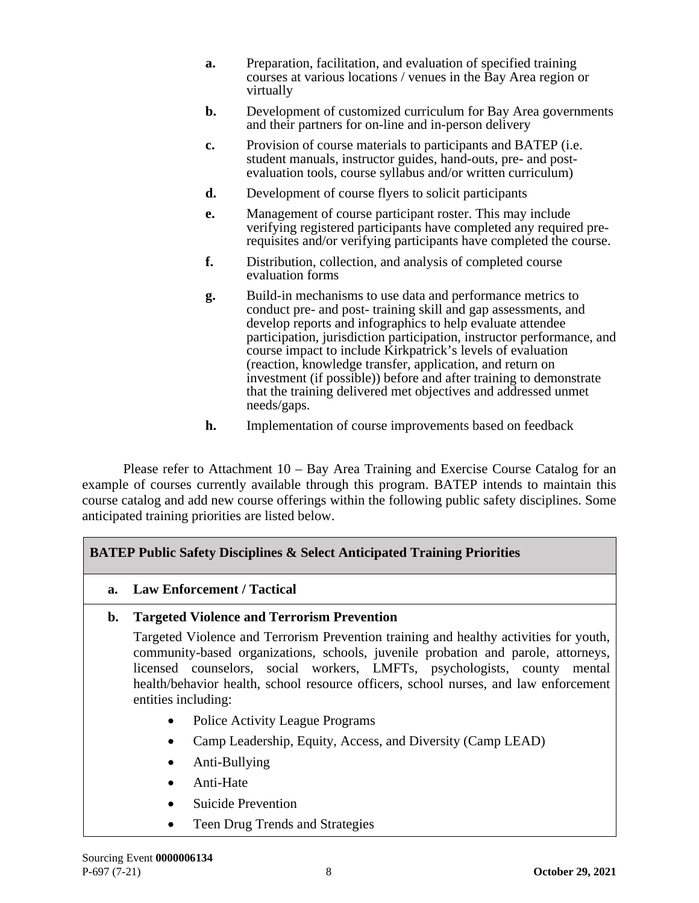- **a.** Preparation, facilitation, and evaluation of specified training courses at various locations / venues in the Bay Area region or virtually
- **b.** Development of customized curriculum for Bay Area governments and their partners for on-line and in-person delivery
- **c.** Provision of course materials to participants and BATEP (i.e. student manuals, instructor guides, hand-outs, pre- and postevaluation tools, course syllabus and/or written curriculum)
- **d.** Development of course flyers to solicit participants
- **e.** Management of course participant roster. This may include verifying registered participants have completed any required prerequisites and/or verifying participants have completed the course.
- **f.** Distribution, collection, and analysis of completed course evaluation forms
- **g.** Build-in mechanisms to use data and performance metrics to conduct pre- and post- training skill and gap assessments, and develop reports and infographics to help evaluate attendee participation, jurisdiction participation, instructor performance, and course impact to include Kirkpatrick's levels of evaluation (reaction, knowledge transfer, application, and return on investment (if possible)) before and after training to demonstrate that the training delivered met objectives and addressed unmet needs/gaps.
- **h.** Implementation of course improvements based on feedback

Please refer to Attachment 10 – Bay Area Training and Exercise Course Catalog for an example of courses currently available through this program. BATEP intends to maintain this course catalog and add new course offerings within the following public safety disciplines. Some anticipated training priorities are listed below.

# **BATEP Public Safety Disciplines & Select Anticipated Training Priorities**

**a. Law Enforcement / Tactical**

# **b. Targeted Violence and Terrorism Prevention**

Targeted Violence and Terrorism Prevention training and healthy activities for youth, community-based organizations, schools, juvenile probation and parole, attorneys, licensed counselors, social workers, LMFTs, psychologists, county mental health/behavior health, school resource officers, school nurses, and law enforcement entities including:

- Police Activity League Programs
- Camp Leadership, Equity, Access, and Diversity (Camp LEAD)
- Anti-Bullying
- Anti-Hate
- Suicide Prevention
- Teen Drug Trends and Strategies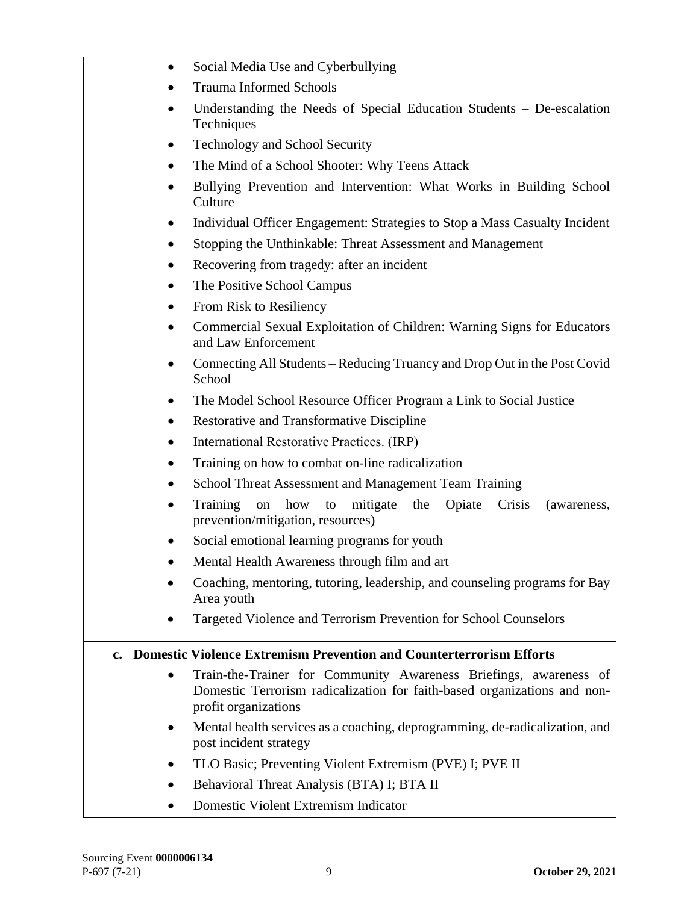| $\bullet$     | Social Media Use and Cyberbullying                                                                                                                                    |
|---------------|-----------------------------------------------------------------------------------------------------------------------------------------------------------------------|
|               | <b>Trauma Informed Schools</b>                                                                                                                                        |
| $\bullet$     | Understanding the Needs of Special Education Students - De-escalation<br>Techniques                                                                                   |
| ٠             | <b>Technology and School Security</b>                                                                                                                                 |
| $\bullet$     | The Mind of a School Shooter: Why Teens Attack                                                                                                                        |
| $\bullet$     | Bullying Prevention and Intervention: What Works in Building School<br>Culture                                                                                        |
|               | Individual Officer Engagement: Strategies to Stop a Mass Casualty Incident                                                                                            |
|               | Stopping the Unthinkable: Threat Assessment and Management                                                                                                            |
|               | Recovering from tragedy: after an incident                                                                                                                            |
|               | The Positive School Campus                                                                                                                                            |
| $\bullet$     | From Risk to Resiliency                                                                                                                                               |
| $\bullet$     | Commercial Sexual Exploitation of Children: Warning Signs for Educators<br>and Law Enforcement                                                                        |
| $\bullet$     | Connecting All Students – Reducing Truancy and Drop Out in the Post Covid<br>School                                                                                   |
|               | The Model School Resource Officer Program a Link to Social Justice                                                                                                    |
|               | <b>Restorative and Transformative Discipline</b>                                                                                                                      |
|               | International Restorative Practices. (IRP)                                                                                                                            |
|               | Training on how to combat on-line radicalization                                                                                                                      |
|               | School Threat Assessment and Management Team Training                                                                                                                 |
|               | Training<br>how<br>mitigate<br>Opiate<br>Crisis<br>the<br>on<br>(awareness,<br>to<br>prevention/mitigation, resources)                                                |
|               | Social emotional learning programs for youth                                                                                                                          |
|               | Mental Health Awareness through film and art                                                                                                                          |
|               | Coaching, mentoring, tutoring, leadership, and counseling programs for Bay<br>Area youth                                                                              |
|               | Targeted Violence and Terrorism Prevention for School Counselors                                                                                                      |
| $c_{\bullet}$ | <b>Domestic Violence Extremism Prevention and Counterterrorism Efforts</b>                                                                                            |
|               | Train-the-Trainer for Community Awareness Briefings, awareness of<br>Domestic Terrorism radicalization for faith-based organizations and non-<br>profit organizations |
|               | Mental health services as a coaching, deprogramming, de-radicalization, and<br>post incident strategy                                                                 |
|               | TLO Basic; Preventing Violent Extremism (PVE) I; PVE II                                                                                                               |
|               | Behavioral Threat Analysis (BTA) I; BTA II                                                                                                                            |
|               | Domestic Violent Extremism Indicator                                                                                                                                  |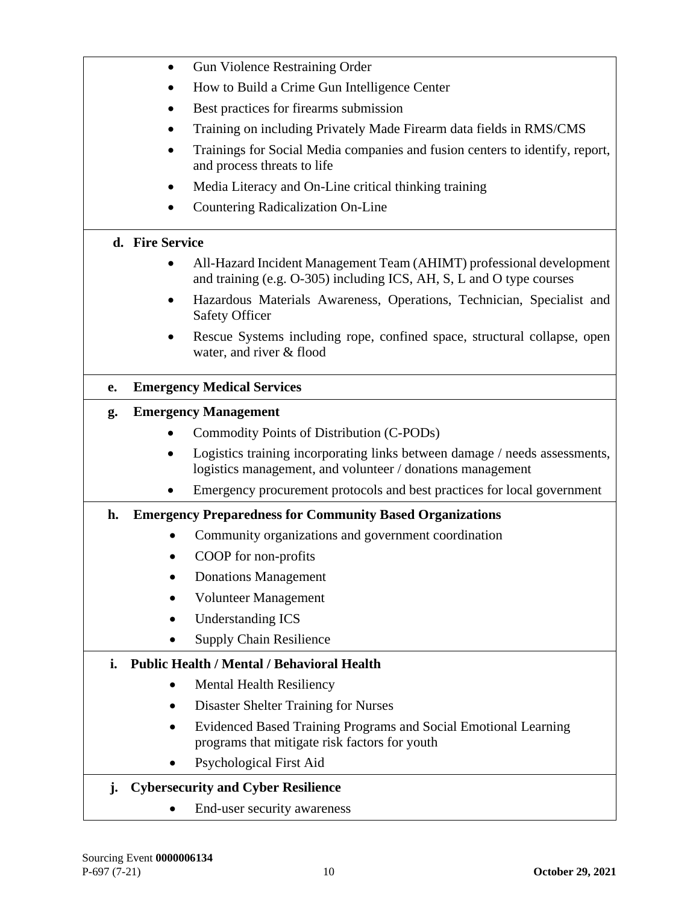|    | <b>Gun Violence Restraining Order</b><br>$\bullet$                                                                                           |
|----|----------------------------------------------------------------------------------------------------------------------------------------------|
|    | How to Build a Crime Gun Intelligence Center                                                                                                 |
|    | Best practices for firearms submission                                                                                                       |
|    | Training on including Privately Made Firearm data fields in RMS/CMS                                                                          |
|    | Trainings for Social Media companies and fusion centers to identify, report,<br>$\bullet$<br>and process threats to life                     |
|    | Media Literacy and On-Line critical thinking training                                                                                        |
|    | Countering Radicalization On-Line                                                                                                            |
|    | d. Fire Service                                                                                                                              |
|    | All-Hazard Incident Management Team (AHIMT) professional development<br>and training (e.g. O-305) including ICS, AH, S, L and O type courses |
|    | Hazardous Materials Awareness, Operations, Technician, Specialist and<br><b>Safety Officer</b>                                               |
|    | Rescue Systems including rope, confined space, structural collapse, open<br>water, and river & flood                                         |
| e. | <b>Emergency Medical Services</b>                                                                                                            |
| g. | <b>Emergency Management</b>                                                                                                                  |
|    | Commodity Points of Distribution (C-PODs)                                                                                                    |
|    | Logistics training incorporating links between damage / needs assessments,<br>logistics management, and volunteer / donations management     |
|    | Emergency procurement protocols and best practices for local government                                                                      |
| h. | <b>Emergency Preparedness for Community Based Organizations</b>                                                                              |
|    | Community organizations and government coordination                                                                                          |
|    | COOP for non-profits                                                                                                                         |
|    | <b>Donations Management</b>                                                                                                                  |
|    | <b>Volunteer Management</b>                                                                                                                  |
|    | <b>Understanding ICS</b>                                                                                                                     |
|    | <b>Supply Chain Resilience</b>                                                                                                               |
| i. | <b>Public Health / Mental / Behavioral Health</b>                                                                                            |
|    | <b>Mental Health Resiliency</b>                                                                                                              |
|    | <b>Disaster Shelter Training for Nurses</b>                                                                                                  |
|    | Evidenced Based Training Programs and Social Emotional Learning<br>programs that mitigate risk factors for youth                             |
|    | Psychological First Aid                                                                                                                      |
| j. | <b>Cybersecurity and Cyber Resilience</b>                                                                                                    |
|    | End-user security awareness                                                                                                                  |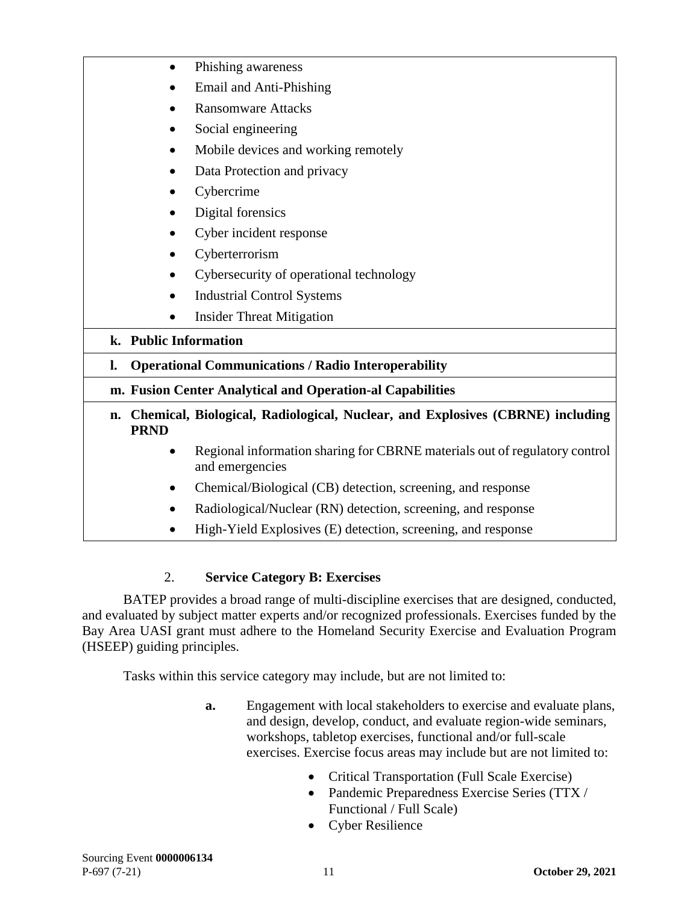| Phishing awareness<br>$\bullet$<br>Email and Anti-Phishing<br><b>Ransomware Attacks</b><br>Social engineering<br>Mobile devices and working remotely<br>Data Protection and privacy<br>Cybercrime<br>Digital forensics<br>٠<br>Cyber incident response<br>Cyberterrorism<br>$\bullet$<br>Cybersecurity of operational technology<br>$\bullet$<br><b>Industrial Control Systems</b><br>$\bullet$<br><b>Insider Threat Mitigation</b><br>٠<br>k. Public Information<br><b>Operational Communications / Radio Interoperability</b><br>l.<br>m. Fusion Center Analytical and Operation-al Capabilities |
|----------------------------------------------------------------------------------------------------------------------------------------------------------------------------------------------------------------------------------------------------------------------------------------------------------------------------------------------------------------------------------------------------------------------------------------------------------------------------------------------------------------------------------------------------------------------------------------------------|
|                                                                                                                                                                                                                                                                                                                                                                                                                                                                                                                                                                                                    |
|                                                                                                                                                                                                                                                                                                                                                                                                                                                                                                                                                                                                    |
|                                                                                                                                                                                                                                                                                                                                                                                                                                                                                                                                                                                                    |
|                                                                                                                                                                                                                                                                                                                                                                                                                                                                                                                                                                                                    |
|                                                                                                                                                                                                                                                                                                                                                                                                                                                                                                                                                                                                    |
|                                                                                                                                                                                                                                                                                                                                                                                                                                                                                                                                                                                                    |
|                                                                                                                                                                                                                                                                                                                                                                                                                                                                                                                                                                                                    |
|                                                                                                                                                                                                                                                                                                                                                                                                                                                                                                                                                                                                    |
|                                                                                                                                                                                                                                                                                                                                                                                                                                                                                                                                                                                                    |
|                                                                                                                                                                                                                                                                                                                                                                                                                                                                                                                                                                                                    |
|                                                                                                                                                                                                                                                                                                                                                                                                                                                                                                                                                                                                    |
|                                                                                                                                                                                                                                                                                                                                                                                                                                                                                                                                                                                                    |
|                                                                                                                                                                                                                                                                                                                                                                                                                                                                                                                                                                                                    |
|                                                                                                                                                                                                                                                                                                                                                                                                                                                                                                                                                                                                    |
|                                                                                                                                                                                                                                                                                                                                                                                                                                                                                                                                                                                                    |
|                                                                                                                                                                                                                                                                                                                                                                                                                                                                                                                                                                                                    |
| Chemical, Biological, Radiological, Nuclear, and Explosives (CBRNE) including<br>n.<br><b>PRND</b>                                                                                                                                                                                                                                                                                                                                                                                                                                                                                                 |
| Regional information sharing for CBRNE materials out of regulatory control<br>$\bullet$<br>and emergencies                                                                                                                                                                                                                                                                                                                                                                                                                                                                                         |
| Chemical/Biological (CB) detection, screening, and response<br>٠                                                                                                                                                                                                                                                                                                                                                                                                                                                                                                                                   |
| Radiological/Nuclear (RN) detection, screening, and response                                                                                                                                                                                                                                                                                                                                                                                                                                                                                                                                       |
| High-Yield Explosives (E) detection, screening, and response                                                                                                                                                                                                                                                                                                                                                                                                                                                                                                                                       |

# 2. **Service Category B: Exercises**

BATEP provides a broad range of multi-discipline exercises that are designed, conducted, and evaluated by subject matter experts and/or recognized professionals. Exercises funded by the Bay Area UASI grant must adhere to the Homeland Security Exercise and Evaluation Program (HSEEP) guiding principles.

Tasks within this service category may include, but are not limited to:

- **a.** Engagement with local stakeholders to exercise and evaluate plans, and design, develop, conduct, and evaluate region-wide seminars, workshops, tabletop exercises, functional and/or full-scale exercises. Exercise focus areas may include but are not limited to:
	- Critical Transportation (Full Scale Exercise)
	- Pandemic Preparedness Exercise Series (TTX / Functional / Full Scale)
	- Cyber Resilience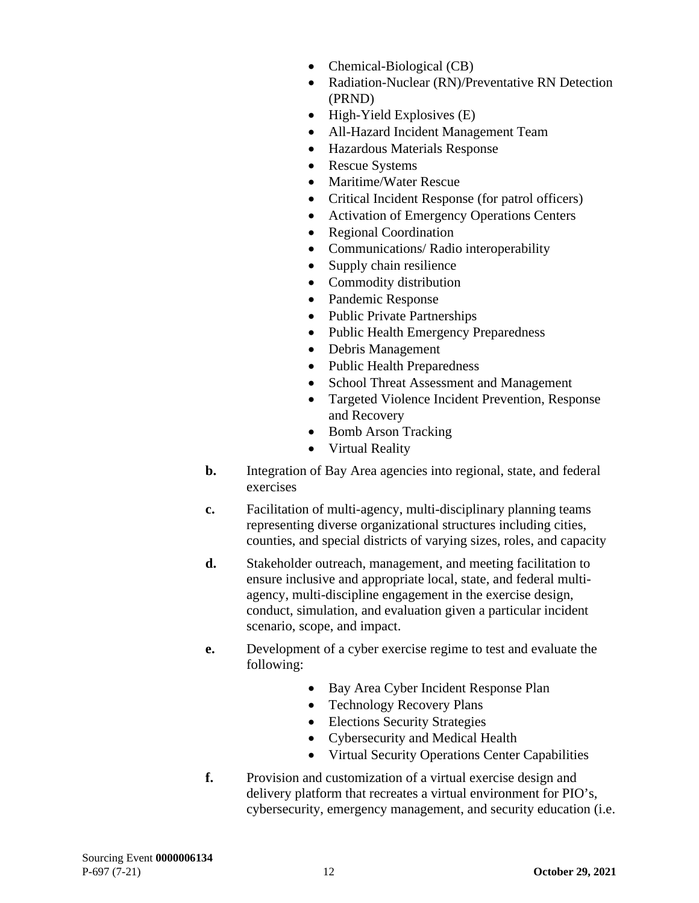- Chemical-Biological (CB)
- Radiation-Nuclear (RN)/Preventative RN Detection (PRND)
- High-Yield Explosives (E)
- All-Hazard Incident Management Team
- Hazardous Materials Response
- Rescue Systems
- Maritime/Water Rescue
- Critical Incident Response (for patrol officers)
- Activation of Emergency Operations Centers
- Regional Coordination
- Communications/ Radio interoperability
- Supply chain resilience
- Commodity distribution
- Pandemic Response
- Public Private Partnerships
- Public Health Emergency Preparedness
- Debris Management
- Public Health Preparedness
- School Threat Assessment and Management
- Targeted Violence Incident Prevention, Response and Recovery
- Bomb Arson Tracking
- Virtual Reality
- **b.** Integration of Bay Area agencies into regional, state, and federal exercises
- **c.** Facilitation of multi-agency, multi-disciplinary planning teams representing diverse organizational structures including cities, counties, and special districts of varying sizes, roles, and capacity
- **d.** Stakeholder outreach, management, and meeting facilitation to ensure inclusive and appropriate local, state, and federal multiagency, multi-discipline engagement in the exercise design, conduct, simulation, and evaluation given a particular incident scenario, scope, and impact.
- **e.** Development of a cyber exercise regime to test and evaluate the following:
	- Bay Area Cyber Incident Response Plan
	- Technology Recovery Plans
	- Elections Security Strategies
	- Cybersecurity and Medical Health
	- Virtual Security Operations Center Capabilities
- **f.** Provision and customization of a virtual exercise design and delivery platform that recreates a virtual environment for PIO's, cybersecurity, emergency management, and security education (i.e.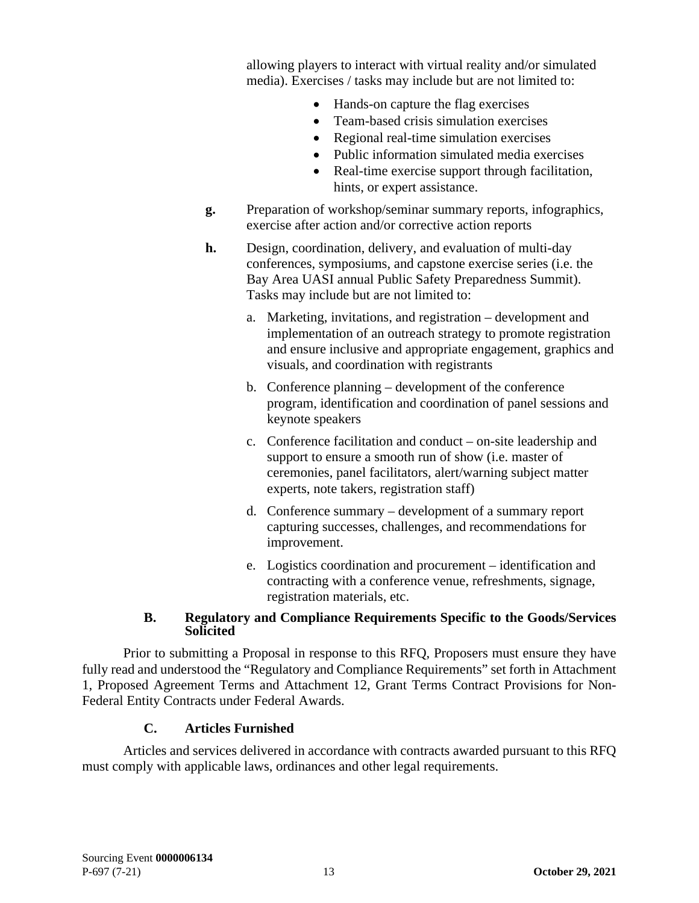allowing players to interact with virtual reality and/or simulated media). Exercises / tasks may include but are not limited to:

- Hands-on capture the flag exercises
- Team-based crisis simulation exercises
- Regional real-time simulation exercises
- Public information simulated media exercises
- Real-time exercise support through facilitation, hints, or expert assistance.
- **g.** Preparation of workshop/seminar summary reports, infographics, exercise after action and/or corrective action reports
- **h.** Design, coordination, delivery, and evaluation of multi-day conferences, symposiums, and capstone exercise series (i.e. the Bay Area UASI annual Public Safety Preparedness Summit). Tasks may include but are not limited to:
	- a. Marketing, invitations, and registration development and implementation of an outreach strategy to promote registration and ensure inclusive and appropriate engagement, graphics and visuals, and coordination with registrants
	- b. Conference planning development of the conference program, identification and coordination of panel sessions and keynote speakers
	- c. Conference facilitation and conduct on-site leadership and support to ensure a smooth run of show (i.e. master of ceremonies, panel facilitators, alert/warning subject matter experts, note takers, registration staff)
	- d. Conference summary development of a summary report capturing successes, challenges, and recommendations for improvement.
	- e. Logistics coordination and procurement identification and contracting with a conference venue, refreshments, signage, registration materials, etc.

#### **B. Regulatory and Compliance Requirements Specific to the Goods/Services Solicited**

<span id="page-15-0"></span>Prior to submitting a Proposal in response to this RFQ, Proposers must ensure they have fully read and understood the "Regulatory and Compliance Requirements" set forth in Attachment 1, Proposed Agreement Terms and Attachment 12, Grant Terms Contract Provisions for Non-Federal Entity Contracts under Federal Awards.

# **C. Articles Furnished**

<span id="page-15-1"></span>Articles and services delivered in accordance with contracts awarded pursuant to this RFQ must comply with applicable laws, ordinances and other legal requirements.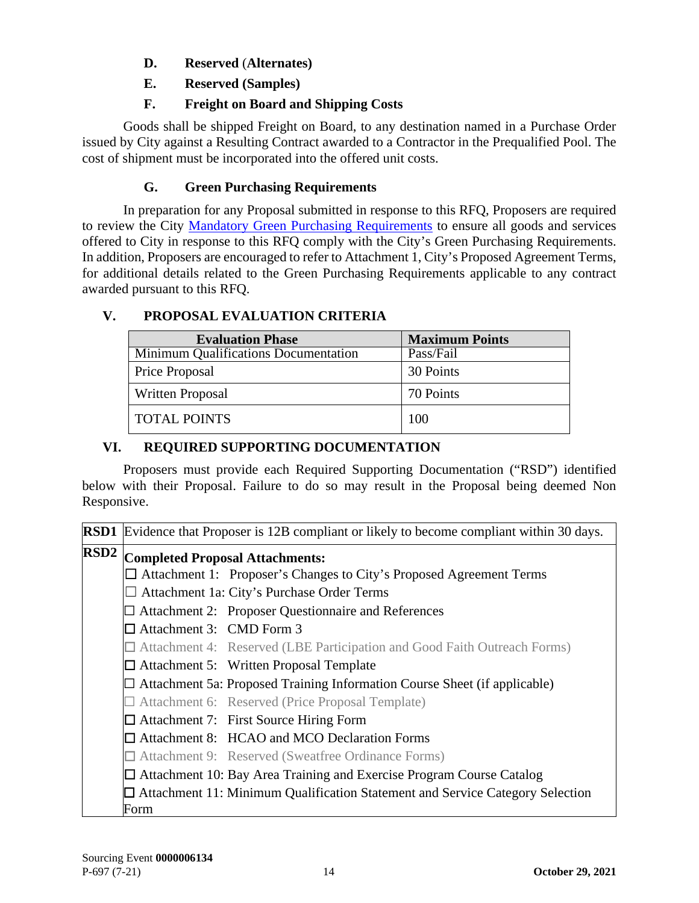# **D. Reserved** (**Alternates)**

**E. Reserved (Samples)**

# **F. Freight on Board and Shipping Costs**

<span id="page-16-2"></span><span id="page-16-1"></span><span id="page-16-0"></span>Goods shall be shipped Freight on Board, to any destination named in a Purchase Order issued by City against a Resulting Contract awarded to a Contractor in the Prequalified Pool. The cost of shipment must be incorporated into the offered unit costs.

# **G. Green Purchasing Requirements**

<span id="page-16-3"></span>In preparation for any Proposal submitted in response to this RFQ, Proposers are required to review the City [Mandatory Green Purchasing Requirements](https://sfgov.org/oca/green-purchasing-requirements) to ensure all goods and services offered to City in response to this RFQ comply with the City's Green Purchasing Requirements. In addition, Proposers are encouraged to refer to Attachment 1, City's Proposed Agreement Terms, for additional details related to the Green Purchasing Requirements applicable to any contract awarded pursuant to this RFQ.

# <span id="page-16-4"></span>**V. PROPOSAL EVALUATION CRITERIA**

| <b>Evaluation Phase</b>              | <b>Maximum Points</b> |
|--------------------------------------|-----------------------|
| Minimum Qualifications Documentation | Pass/Fail             |
| <b>Price Proposal</b>                | 30 Points             |
| Written Proposal                     | 70 Points             |
| <b>TOTAL POINTS</b>                  | 100                   |

# <span id="page-16-5"></span>**VI. REQUIRED SUPPORTING DOCUMENTATION**

Proposers must provide each Required Supporting Documentation ("RSD") identified below with their Proposal. Failure to do so may result in the Proposal being deemed Non Responsive.

|                  | <b>RSD1</b> Evidence that Proposer is 12B compliant or likely to become compliant within 30 days. |  |
|------------------|---------------------------------------------------------------------------------------------------|--|
| RSD <sub>2</sub> | <b>Completed Proposal Attachments:</b>                                                            |  |
|                  | $\Box$ Attachment 1: Proposer's Changes to City's Proposed Agreement Terms                        |  |
|                  | $\Box$ Attachment 1a: City's Purchase Order Terms                                                 |  |
|                  | $\Box$ Attachment 2: Proposer Questionnaire and References                                        |  |
|                  | $\Box$ Attachment 3: CMD Form 3                                                                   |  |
|                  | $\Box$ Attachment 4: Reserved (LBE Participation and Good Faith Outreach Forms)                   |  |
|                  | $\Box$ Attachment 5: Written Proposal Template                                                    |  |
|                  | $\Box$ Attachment 5a: Proposed Training Information Course Sheet (if applicable)                  |  |
|                  | $\Box$ Attachment 6: Reserved (Price Proposal Template)                                           |  |
|                  | $\Box$ Attachment 7: First Source Hiring Form                                                     |  |
|                  | □ Attachment 8: HCAO and MCO Declaration Forms                                                    |  |
|                  | $\Box$ Attachment 9: Reserved (Sweatfree Ordinance Forms)                                         |  |
|                  | $\Box$ Attachment 10: Bay Area Training and Exercise Program Course Catalog                       |  |
|                  | $\Box$ Attachment 11: Minimum Qualification Statement and Service Category Selection              |  |
|                  | Form                                                                                              |  |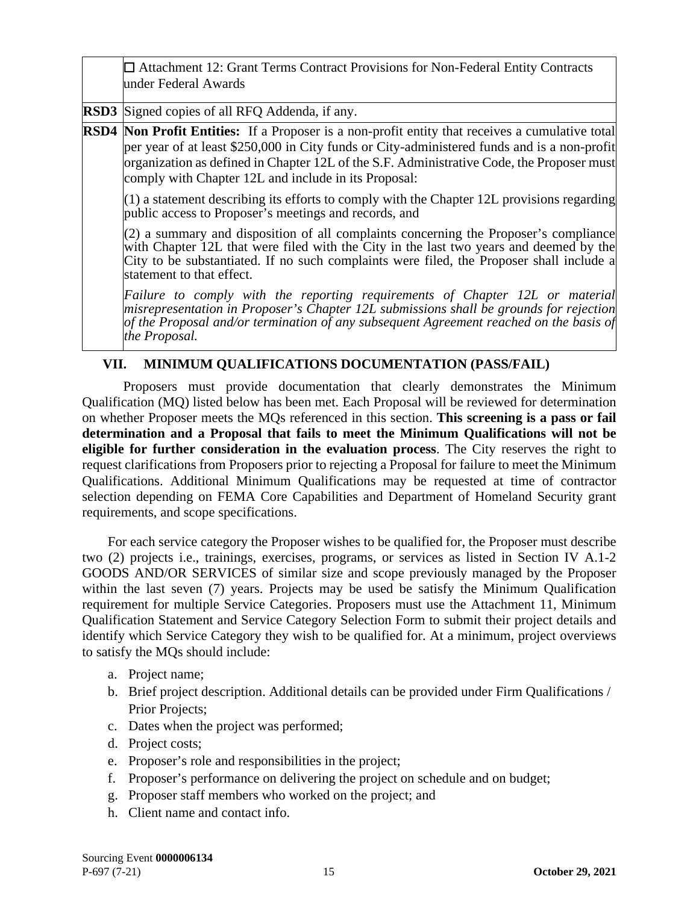| $\Box$ Attachment 12: Grant Terms Contract Provisions for Non-Federal Entity Contracts<br>under Federal Awards                                                                                                                                                                                                                                             |
|------------------------------------------------------------------------------------------------------------------------------------------------------------------------------------------------------------------------------------------------------------------------------------------------------------------------------------------------------------|
| <b>RSD3</b> Signed copies of all RFQ Addenda, if any.                                                                                                                                                                                                                                                                                                      |
| <b>RSD4</b> Non Profit Entities: If a Proposer is a non-profit entity that receives a cumulative total<br>per year of at least \$250,000 in City funds or City-administered funds and is a non-profit<br>organization as defined in Chapter 12L of the S.F. Administrative Code, the Proposer must<br>comply with Chapter 12L and include in its Proposal: |
| $(1)$ a statement describing its efforts to comply with the Chapter 12L provisions regarding<br>public access to Proposer's meetings and records, and                                                                                                                                                                                                      |
| $(2)$ a summary and disposition of all complaints concerning the Proposer's compliance<br>with Chapter 12L that were filed with the City in the last two years and deemed by the<br>City to be substantiated. If no such complaints were filed, the Proposer shall include a<br>statement to that effect.                                                  |
| Failure to comply with the reporting requirements of Chapter 12L or material<br>$ m$ isrepresentation in Proposer's Chapter 12L submissions shall be grounds for rejection<br>of the Proposal and/or termination of any subsequent Agreement reached on the basis of<br>the Proposal.                                                                      |

### <span id="page-17-0"></span>**VII. MINIMUM QUALIFICATIONS DOCUMENTATION (PASS/FAIL)**

Proposers must provide documentation that clearly demonstrates the Minimum Qualification (MQ) listed below has been met. Each Proposal will be reviewed for determination on whether Proposer meets the MQs referenced in this section. **This screening is a pass or fail determination and a Proposal that fails to meet the Minimum Qualifications will not be eligible for further consideration in the evaluation process**. The City reserves the right to request clarifications from Proposers prior to rejecting a Proposal for failure to meet the Minimum Qualifications. Additional Minimum Qualifications may be requested at time of contractor selection depending on FEMA Core Capabilities and Department of Homeland Security grant requirements, and scope specifications.

For each service category the Proposer wishes to be qualified for, the Proposer must describe two (2) projects i.e., trainings, exercises, programs, or services as listed in Section IV A.1-2 GOODS AND/OR SERVICES of similar size and scope previously managed by the Proposer within the last seven (7) years. Projects may be used be satisfy the Minimum Qualification requirement for multiple Service Categories. Proposers must use the Attachment 11, Minimum Qualification Statement and Service Category Selection Form to submit their project details and identify which Service Category they wish to be qualified for. At a minimum, project overviews to satisfy the MQs should include:

- a. Project name;
- b. Brief project description. Additional details can be provided under Firm Qualifications / Prior Projects;
- c. Dates when the project was performed;
- d. Project costs;
- e. Proposer's role and responsibilities in the project;
- f. Proposer's performance on delivering the project on schedule and on budget;
- g. Proposer staff members who worked on the project; and
- h. Client name and contact info.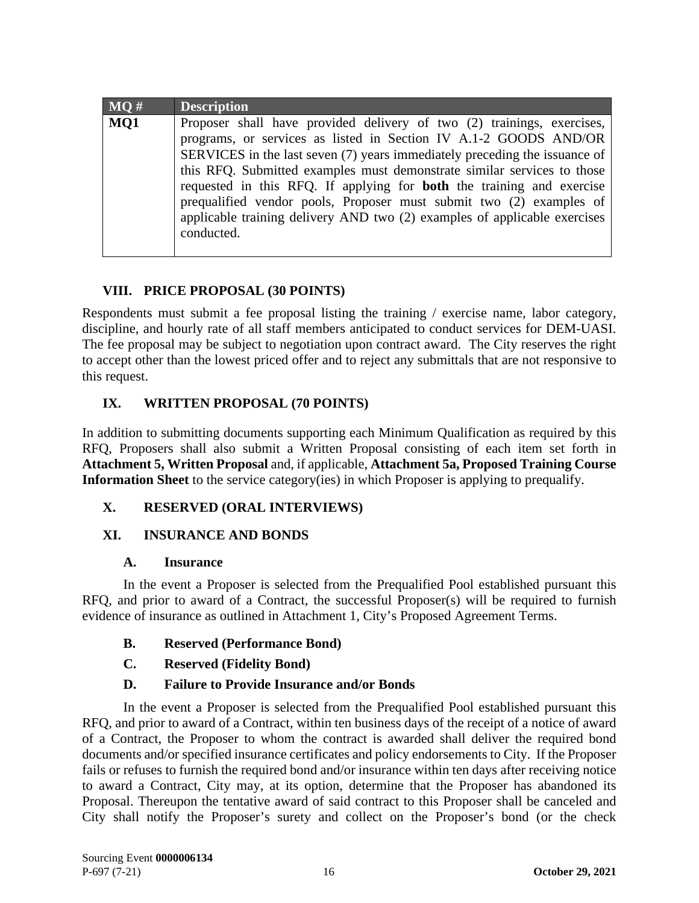| MO# | <b>Description</b>                                                                                                                                                                                                                                                                                                                                                                                                                                                                                                                      |
|-----|-----------------------------------------------------------------------------------------------------------------------------------------------------------------------------------------------------------------------------------------------------------------------------------------------------------------------------------------------------------------------------------------------------------------------------------------------------------------------------------------------------------------------------------------|
| MQ1 | Proposer shall have provided delivery of two (2) trainings, exercises,<br>programs, or services as listed in Section IV A.1-2 GOODS AND/OR<br>SERVICES in the last seven (7) years immediately preceding the issuance of<br>this RFQ. Submitted examples must demonstrate similar services to those<br>requested in this RFQ. If applying for <b>both</b> the training and exercise<br>prequalified vendor pools, Proposer must submit two (2) examples of<br>applicable training delivery AND two (2) examples of applicable exercises |
|     | conducted.                                                                                                                                                                                                                                                                                                                                                                                                                                                                                                                              |

# **VIII. PRICE PROPOSAL (30 POINTS)**

<span id="page-18-0"></span>Respondents must submit a fee proposal listing the training / exercise name, labor category, discipline, and hourly rate of all staff members anticipated to conduct services for DEM-UASI. The fee proposal may be subject to negotiation upon contract award. The City reserves the right to accept other than the lowest priced offer and to reject any submittals that are not responsive to this request.

# <span id="page-18-1"></span>**IX. WRITTEN PROPOSAL (70 POINTS)**

In addition to submitting documents supporting each Minimum Qualification as required by this RFQ, Proposers shall also submit a Written Proposal consisting of each item set forth in **Attachment 5, Written Proposal** and, if applicable, **Attachment 5a, Proposed Training Course Information Sheet** to the service category(ies) in which Proposer is applying to prequalify.

# <span id="page-18-2"></span>**X. RESERVED (ORAL INTERVIEWS)**

### <span id="page-18-3"></span>**XI. INSURANCE AND BONDS**

### **A. Insurance**

<span id="page-18-4"></span>In the event a Proposer is selected from the Prequalified Pool established pursuant this RFQ, and prior to award of a Contract, the successful Proposer(s) will be required to furnish evidence of insurance as outlined in Attachment 1, City's Proposed Agreement Terms.

<span id="page-18-5"></span>**B. Reserved (Performance Bond)**

# <span id="page-18-6"></span>**C. Reserved (Fidelity Bond)**

### **D. Failure to Provide Insurance and/or Bonds**

<span id="page-18-7"></span>In the event a Proposer is selected from the Prequalified Pool established pursuant this RFQ, and prior to award of a Contract, within ten business days of the receipt of a notice of award of a Contract, the Proposer to whom the contract is awarded shall deliver the required bond documents and/or specified insurance certificates and policy endorsements to City. If the Proposer fails or refuses to furnish the required bond and/or insurance within ten days after receiving notice to award a Contract, City may, at its option, determine that the Proposer has abandoned its Proposal. Thereupon the tentative award of said contract to this Proposer shall be canceled and City shall notify the Proposer's surety and collect on the Proposer's bond (or the check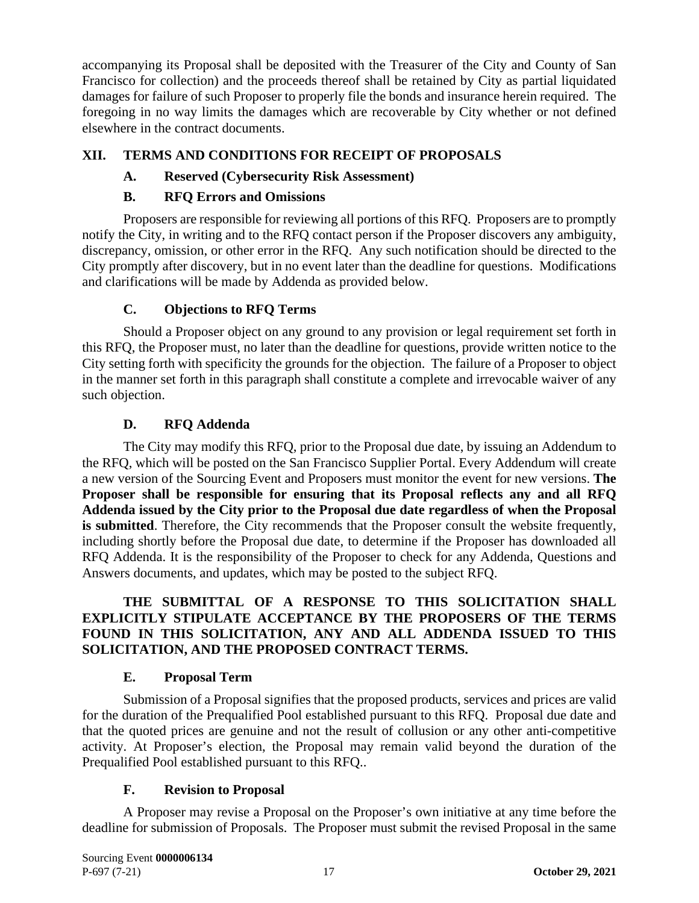accompanying its Proposal shall be deposited with the Treasurer of the City and County of San Francisco for collection) and the proceeds thereof shall be retained by City as partial liquidated damages for failure of such Proposer to properly file the bonds and insurance herein required. The foregoing in no way limits the damages which are recoverable by City whether or not defined elsewhere in the contract documents.

# <span id="page-19-1"></span><span id="page-19-0"></span>**XII. TERMS AND CONDITIONS FOR RECEIPT OF PROPOSALS**

# **A. Reserved (Cybersecurity Risk Assessment)**

### **B. RFQ Errors and Omissions**

<span id="page-19-2"></span>Proposers are responsible for reviewing all portions of this RFQ. Proposers are to promptly notify the City, in writing and to the RFQ contact person if the Proposer discovers any ambiguity, discrepancy, omission, or other error in the RFQ. Any such notification should be directed to the City promptly after discovery, but in no event later than the deadline for questions. Modifications and clarifications will be made by Addenda as provided below.

### **C. Objections to RFQ Terms**

<span id="page-19-3"></span>Should a Proposer object on any ground to any provision or legal requirement set forth in this RFQ, the Proposer must, no later than the deadline for questions, provide written notice to the City setting forth with specificity the grounds for the objection. The failure of a Proposer to object in the manner set forth in this paragraph shall constitute a complete and irrevocable waiver of any such objection.

### **D. RFQ Addenda**

<span id="page-19-4"></span>The City may modify this RFQ, prior to the Proposal due date, by issuing an Addendum to the RFQ, which will be posted on the San Francisco Supplier Portal. Every Addendum will create a new version of the Sourcing Event and Proposers must monitor the event for new versions. **The Proposer shall be responsible for ensuring that its Proposal reflects any and all RFQ Addenda issued by the City prior to the Proposal due date regardless of when the Proposal is submitted**. Therefore, the City recommends that the Proposer consult the website frequently, including shortly before the Proposal due date, to determine if the Proposer has downloaded all RFQ Addenda. It is the responsibility of the Proposer to check for any Addenda, Questions and Answers documents, and updates, which may be posted to the subject RFQ.

### **THE SUBMITTAL OF A RESPONSE TO THIS SOLICITATION SHALL EXPLICITLY STIPULATE ACCEPTANCE BY THE PROPOSERS OF THE TERMS FOUND IN THIS SOLICITATION, ANY AND ALL ADDENDA ISSUED TO THIS SOLICITATION, AND THE PROPOSED CONTRACT TERMS.**

### **E. Proposal Term**

<span id="page-19-5"></span>Submission of a Proposal signifies that the proposed products, services and prices are valid for the duration of the Prequalified Pool established pursuant to this RFQ. Proposal due date and that the quoted prices are genuine and not the result of collusion or any other anti-competitive activity. At Proposer's election, the Proposal may remain valid beyond the duration of the Prequalified Pool established pursuant to this RFQ..

### **F. Revision to Proposal**

<span id="page-19-6"></span>A Proposer may revise a Proposal on the Proposer's own initiative at any time before the deadline for submission of Proposals. The Proposer must submit the revised Proposal in the same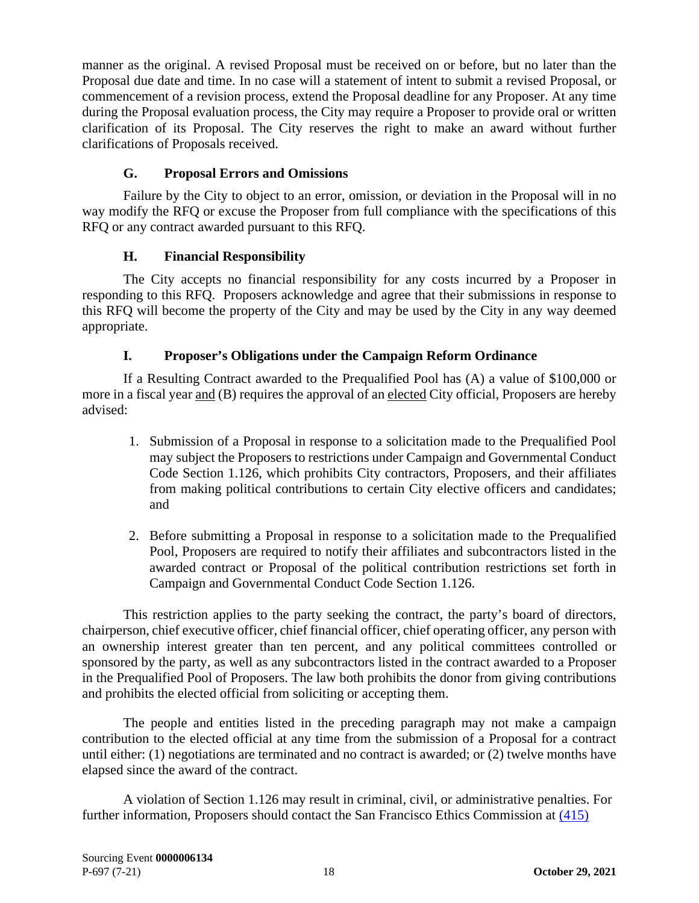manner as the original. A revised Proposal must be received on or before, but no later than the Proposal due date and time. In no case will a statement of intent to submit a revised Proposal, or commencement of a revision process, extend the Proposal deadline for any Proposer. At any time during the Proposal evaluation process, the City may require a Proposer to provide oral or written clarification of its Proposal. The City reserves the right to make an award without further clarifications of Proposals received.

# **G. Proposal Errors and Omissions**

<span id="page-20-0"></span>Failure by the City to object to an error, omission, or deviation in the Proposal will in no way modify the RFQ or excuse the Proposer from full compliance with the specifications of this RFQ or any contract awarded pursuant to this RFQ.

# **H. Financial Responsibility**

<span id="page-20-1"></span>The City accepts no financial responsibility for any costs incurred by a Proposer in responding to this RFQ. Proposers acknowledge and agree that their submissions in response to this RFQ will become the property of the City and may be used by the City in any way deemed appropriate.

# **I. Proposer's Obligations under the Campaign Reform Ordinance**

<span id="page-20-2"></span>If a Resulting Contract awarded to the Prequalified Pool has (A) a value of \$100,000 or more in a fiscal year and (B) requires the approval of an elected City official, Proposers are hereby advised:

- 1. Submission of a Proposal in response to a solicitation made to the Prequalified Pool may subject the Proposers to restrictions under Campaign and Governmental Conduct Code Section 1.126, which prohibits City contractors, Proposers, and their affiliates from making political contributions to certain City elective officers and candidates; and
- 2. Before submitting a Proposal in response to a solicitation made to the Prequalified Pool, Proposers are required to notify their affiliates and subcontractors listed in the awarded contract or Proposal of the political contribution restrictions set forth in Campaign and Governmental Conduct Code Section 1.126.

This restriction applies to the party seeking the contract, the party's board of directors, chairperson, chief executive officer, chief financial officer, chief operating officer, any person with an ownership interest greater than ten percent, and any political committees controlled or sponsored by the party, as well as any subcontractors listed in the contract awarded to a Proposer in the Prequalified Pool of Proposers. The law both prohibits the donor from giving contributions and prohibits the elected official from soliciting or accepting them.

The people and entities listed in the preceding paragraph may not make a campaign contribution to the elected official at any time from the submission of a Proposal for a contract until either: (1) negotiations are terminated and no contract is awarded; or (2) twelve months have elapsed since the award of the contract.

A violation of Section 1.126 may result in criminal, civil, or administrative penalties. For further information, Proposers should contact the San Francisco Ethics Commission at [\(415\)](tel:(415)%20252-3100)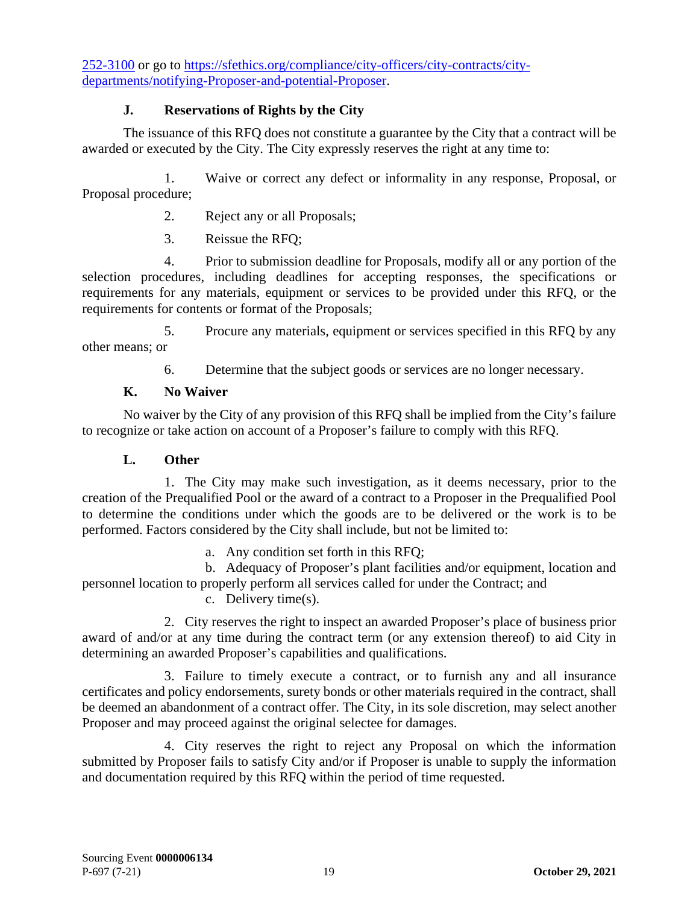[252-3100](tel:(415)%20252-3100) or go to [https://sfethics.org/compliance/city-officers/city-contracts/city](https://sfethics.org/compliance/city-officers/city-contracts/city-departments/notifying-bidders-and-potential-bidders)[departments/notifying-Proposer-and-potential-Proposer.](https://sfethics.org/compliance/city-officers/city-contracts/city-departments/notifying-bidders-and-potential-bidders)

## **J. Reservations of Rights by the City**

<span id="page-21-0"></span>The issuance of this RFQ does not constitute a guarantee by the City that a contract will be awarded or executed by the City. The City expressly reserves the right at any time to:

1. Waive or correct any defect or informality in any response, Proposal, or Proposal procedure;

- 2. Reject any or all Proposals;
- 3. Reissue the RFQ;

4. Prior to submission deadline for Proposals, modify all or any portion of the selection procedures, including deadlines for accepting responses, the specifications or requirements for any materials, equipment or services to be provided under this RFQ, or the requirements for contents or format of the Proposals;

5. Procure any materials, equipment or services specified in this RFQ by any other means; or

6. Determine that the subject goods or services are no longer necessary.

# **K. No Waiver**

<span id="page-21-1"></span>No waiver by the City of any provision of this RFQ shall be implied from the City's failure to recognize or take action on account of a Proposer's failure to comply with this RFQ.

## **L. Other**

<span id="page-21-2"></span>1. The City may make such investigation, as it deems necessary, prior to the creation of the Prequalified Pool or the award of a contract to a Proposer in the Prequalified Pool to determine the conditions under which the goods are to be delivered or the work is to be performed. Factors considered by the City shall include, but not be limited to:

a. Any condition set forth in this RFQ;

b. Adequacy of Proposer's plant facilities and/or equipment, location and personnel location to properly perform all services called for under the Contract; and

c. Delivery time(s).

2. City reserves the right to inspect an awarded Proposer's place of business prior award of and/or at any time during the contract term (or any extension thereof) to aid City in determining an awarded Proposer's capabilities and qualifications.

3. Failure to timely execute a contract, or to furnish any and all insurance certificates and policy endorsements, surety bonds or other materials required in the contract, shall be deemed an abandonment of a contract offer. The City, in its sole discretion, may select another Proposer and may proceed against the original selectee for damages.

4. City reserves the right to reject any Proposal on which the information submitted by Proposer fails to satisfy City and/or if Proposer is unable to supply the information and documentation required by this RFQ within the period of time requested.